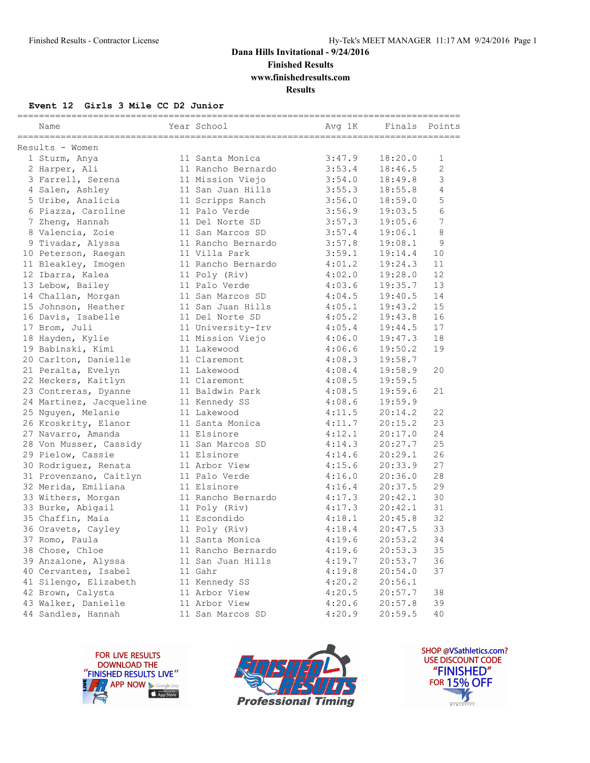### **Dana Hills Invitational - 9/24/2016 Finished Results**

**www.finishedresults.com**

**Results**

#### **Event 12 Girls 3 Mile CC D2 Junior**

| Name                    | Year School        | Avg 1K | Finals Points |    |
|-------------------------|--------------------|--------|---------------|----|
| Results - Women         |                    |        |               |    |
| 1 Sturm, Anya           | 11 Santa Monica    | 3:47.9 | 18:20.0       | 1  |
| 2 Harper, Ali           | 11 Rancho Bernardo | 3:53.4 | 18:46.5       | 2  |
| 3 Farrell, Serena       | 11 Mission Viejo   | 3:54.0 | 18:49.8       | 3  |
| 4 Salen, Ashley         | 11 San Juan Hills  | 3:55.3 | 18:55.8       | 4  |
| 5 Uribe, Analicia       | 11 Scripps Ranch   | 3:56.0 | 18:59.0       | 5  |
| 6 Piazza, Caroline      | 11 Palo Verde      | 3:56.9 | 19:03.5       | 6  |
| 7 Zheng, Hannah         | 11 Del Norte SD    | 3:57.3 | 19:05.6       | 7  |
| 8 Valencia, Zoie        | 11 San Marcos SD   | 3:57.4 | 19:06.1       | 8  |
| 9 Tivadar, Alyssa       | 11 Rancho Bernardo | 3:57.8 | 19:08.1       | 9  |
| 10 Peterson, Raegan     | 11 Villa Park      | 3:59.1 | 19:14.4       | 10 |
| 11 Bleakley, Imogen     | 11 Rancho Bernardo | 4:01.2 | 19:24.3       | 11 |
| 12 Ibarra, Kalea        | 11 Poly (Riv)      | 4:02.0 | 19:28.0       | 12 |
| 13 Lebow, Bailey        | 11 Palo Verde      | 4:03.6 | 19:35.7       | 13 |
| 14 Challan, Morgan      | 11 San Marcos SD   | 4:04.5 | 19:40.5       | 14 |
| 15 Johnson, Heather     | 11 San Juan Hills  | 4:05.1 | 19:43.2       | 15 |
| 16 Davis, Isabelle      | 11 Del Norte SD    | 4:05.2 | 19:43.8       | 16 |
| 17 Brom, Juli           | 11 University-Irv  | 4:05.4 | 19:44.5       | 17 |
| 18 Hayden, Kylie        | 11 Mission Viejo   | 4:06.0 | 19:47.3       | 18 |
| 19 Babinski, Kimi       | 11 Lakewood        | 4:06.6 | 19:50.2       | 19 |
| 20 Carlton, Danielle    | 11 Claremont       | 4:08.3 | 19:58.7       |    |
| 21 Peralta, Evelyn      | 11 Lakewood        | 4:08.4 | 19:58.9       | 20 |
| 22 Heckers, Kaitlyn     | 11 Claremont       | 4:08.5 | 19:59.5       |    |
| 23 Contreras, Dyanne    | 11 Baldwin Park    | 4:08.5 | 19:59.6       | 21 |
| 24 Martinez, Jacqueline | 11 Kennedy SS      | 4:08.6 | 19:59.9       |    |
| 25 Nguyen, Melanie      | 11 Lakewood        | 4:11.5 | 20:14.2       | 22 |
| 26 Kroskrity, Elanor    | 11 Santa Monica    | 4:11.7 | 20:15.2       | 23 |
| 27 Navarro, Amanda      | 11 Elsinore        | 4:12.1 | 20:17.0       | 24 |
| 28 Von Musser, Cassidy  | 11 San Marcos SD   | 4:14.3 | 20:27.7       | 25 |
| 29 Pielow, Cassie       | 11 Elsinore        | 4:14.6 | 20:29.1       | 26 |
| 30 Rodriguez, Renata    | 11 Arbor View      | 4:15.6 | 20:33.9       | 27 |
| 31 Provenzano, Caitlyn  | 11 Palo Verde      | 4:16.0 | 20:36.0       | 28 |
| 32 Merida, Emiliana     | 11 Elsinore        | 4:16.4 | 20:37.5       | 29 |
| 33 Withers, Morgan      | 11 Rancho Bernardo | 4:17.3 | 20:42.1       | 30 |
| 33 Burke, Abigail       | 11 Poly (Riv)      | 4:17.3 | 20:42.1       | 31 |
| 35 Chaffin, Maia        | 11 Escondido       | 4:18.1 | 20:45.8       | 32 |
| 36 Oravets, Cayley      | 11 Poly (Riv)      | 4:18.4 | 20:47.5       | 33 |
| 37 Romo, Paula          | 11 Santa Monica    | 4:19.6 | 20:53.2       | 34 |
| 38 Chose, Chloe         | 11 Rancho Bernardo | 4:19.6 | 20:53.3       | 35 |
| 39 Anzalone, Alyssa     | 11 San Juan Hills  | 4:19.7 | 20:53.7       | 36 |
| 40 Cervantes, Isabel    | 11 Gahr            | 4:19.8 | 20:54.0       | 37 |
| 41 Silengo, Elizabeth   | 11 Kennedy SS      | 4:20.2 | 20:56.1       |    |
| 42 Brown, Calysta       | 11 Arbor View      | 4:20.5 | 20:57.7       | 38 |
| 43 Walker, Danielle     | 11 Arbor View      | 4:20.6 | 20:57.8       | 39 |
| 44 Sandles, Hannah      | 11 San Marcos SD   | 4:20.9 | 20:59.5       | 40 |





SHOP @VSathletics.com? USE DISCOUNT CODE "FINISHED" **FOR 15% OFF**  $\blacktriangle$  $\frac{1}{1}$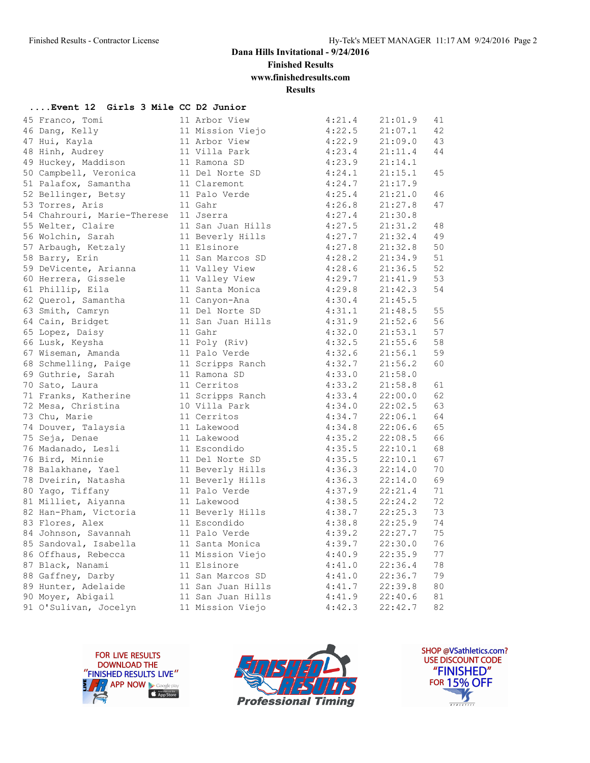**Finished Results**

**www.finishedresults.com**

**Results**

| Event 12 Girls 3 Mile CC D2 Junior |                   |        |         |    |
|------------------------------------|-------------------|--------|---------|----|
| 45 Franco, Tomi                    | 11 Arbor View     | 4:21.4 | 21:01.9 | 41 |
| 46 Dang, Kelly                     | 11 Mission Viejo  | 4:22.5 | 21:07.1 | 42 |
| 47 Hui, Kayla                      | 11 Arbor View     | 4:22.9 | 21:09.0 | 43 |
| 48 Hinh, Audrey                    | 11 Villa Park     | 4:23.4 | 21:11.4 | 44 |
| 49 Huckey, Maddison                | 11 Ramona SD      | 4:23.9 | 21:14.1 |    |
| 50 Campbell, Veronica              | 11 Del Norte SD   | 4:24.1 | 21:15.1 | 45 |
| 51 Palafox, Samantha               | 11 Claremont      | 4:24.7 | 21:17.9 |    |
| 52 Bellinger, Betsy                | 11 Palo Verde     | 4:25.4 | 21:21.0 | 46 |
| 53 Torres, Aris                    | 11 Gahr           | 4:26.8 | 21:27.8 | 47 |
| 54 Chahrouri, Marie-Therese        | 11 Jserra         | 4:27.4 | 21:30.8 |    |
| 55 Welter, Claire                  | 11 San Juan Hills | 4:27.5 | 21:31.2 | 48 |
| 56 Wolchin, Sarah                  | 11 Beverly Hills  | 4:27.7 | 21:32.4 | 49 |
| 57 Arbaugh, Ketzaly                | 11 Elsinore       | 4:27.8 | 21:32.8 | 50 |
| 58 Barry, Erin                     | 11 San Marcos SD  | 4:28.2 | 21:34.9 | 51 |
| 59 DeVicente, Arianna              | 11 Valley View    | 4:28.6 | 21:36.5 | 52 |
| 60 Herrera, Gissele                | 11 Valley View    | 4:29.7 | 21:41.9 | 53 |
| 61 Phillip, Eila                   | 11 Santa Monica   | 4:29.8 | 21:42.3 | 54 |
| 62 Querol, Samantha                | 11 Canyon-Ana     | 4:30.4 | 21:45.5 |    |
| 63 Smith, Camryn                   | 11 Del Norte SD   | 4:31.1 | 21:48.5 | 55 |
| 64 Cain, Bridget                   | 11 San Juan Hills | 4:31.9 | 21:52.6 | 56 |
| 65 Lopez, Daisy                    | 11 Gahr           | 4:32.0 | 21:53.1 | 57 |
| 66 Lusk, Keysha                    | 11 Poly (Riv)     | 4:32.5 | 21:55.6 | 58 |
| 67 Wiseman, Amanda                 | 11 Palo Verde     | 4:32.6 | 21:56.1 | 59 |
| 68 Schmelling, Paige               | 11 Scripps Ranch  | 4:32.7 | 21:56.2 | 60 |
| 69 Guthrie, Sarah                  | 11 Ramona SD      | 4:33.0 | 21:58.0 |    |
| 70 Sato, Laura                     | 11 Cerritos       | 4:33.2 | 21:58.8 | 61 |
| 71 Franks, Katherine               | 11 Scripps Ranch  | 4:33.4 | 22:00.0 | 62 |
| 72 Mesa, Christina                 | 10 Villa Park     | 4:34.0 | 22:02.5 | 63 |
| 73 Chu, Marie                      | 11 Cerritos       | 4:34.7 | 22:06.1 | 64 |
| 74 Douver, Talaysia                | 11 Lakewood       | 4:34.8 | 22:06.6 | 65 |
| 75 Seja, Denae                     | 11 Lakewood       | 4:35.2 | 22:08.5 | 66 |
| 76 Madanado, Lesli                 | 11 Escondido      | 4:35.5 | 22:10.1 | 68 |
| 76 Bird, Minnie                    | 11 Del Norte SD   | 4:35.5 | 22:10.1 | 67 |
| 78 Balakhane, Yael                 | 11 Beverly Hills  | 4:36.3 | 22:14.0 | 70 |
| 78 Dveirin, Natasha                | 11 Beverly Hills  | 4:36.3 | 22:14.0 | 69 |
| 80 Yago, Tiffany                   | 11 Palo Verde     | 4:37.9 | 22:21.4 | 71 |
| 81 Milliet, Aiyanna                | 11 Lakewood       | 4:38.5 | 22:24.2 | 72 |
| 82 Han-Pham, Victoria              | 11 Beverly Hills  | 4:38.7 | 22:25.3 | 73 |
| 83 Flores, Alex                    | 11 Escondido      | 4:38.8 | 22:25.9 | 74 |
| 84 Johnson, Savannah               | 11 Palo Verde     | 4:39.2 | 22:27.7 | 75 |
| 85 Sandoval, Isabella              | 11 Santa Monica   | 4:39.7 | 22:30.0 | 76 |
| 86 Offhaus, Rebecca                | 11 Mission Viejo  | 4:40.9 | 22:35.9 | 77 |
| 87 Black, Nanami                   | 11 Elsinore       | 4:41.0 | 22:36.4 | 78 |
| 88 Gaffney, Darby                  | 11 San Marcos SD  | 4:41.0 | 22:36.7 | 79 |
| 89 Hunter, Adelaide                | 11 San Juan Hills | 4:41.7 | 22:39.8 | 80 |
| 90 Moyer, Abigail                  | 11 San Juan Hills | 4:41.9 | 22:40.6 | 81 |
| 91 O'Sulivan, Jocelyn              | 11 Mission Viejo  | 4:42.3 | 22:42.7 | 82 |
|                                    |                   |        |         |    |





SHOP @VSathletics.com? USE DISCOUNT CODE "FINISHED" **FOR 15% OFF** 了  $\frac{1}{\sqrt{181411111}}$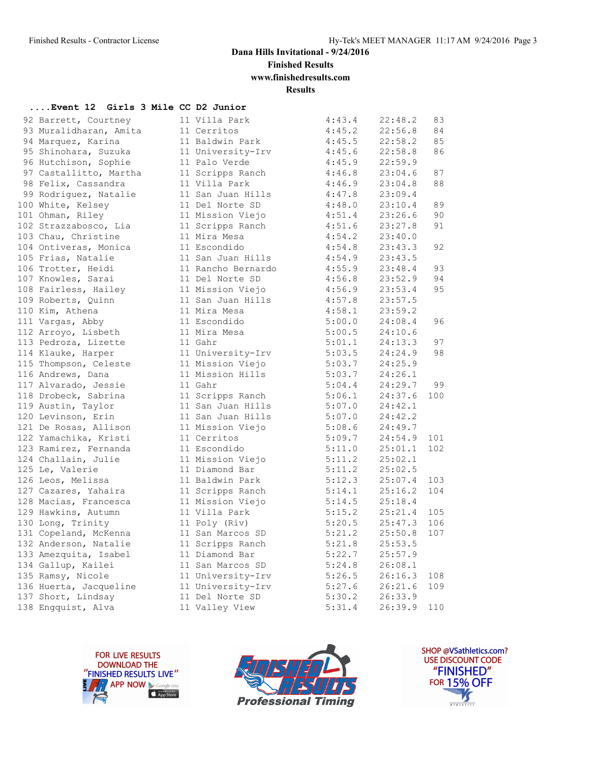**Finished Results**

**www.finishedresults.com**

**Results**

#### **....Event 12 Girls 3 Mile CC D2 Junior**

| 92 Barrett, Courtney   | 11 Villa Park      | 4:43.4 | 22:48.2 | 83  |
|------------------------|--------------------|--------|---------|-----|
| 93 Muralidharan, Amita | 11 Cerritos        | 4:45.2 | 22:56.8 | 84  |
| 94 Marquez, Karina     | 11 Baldwin Park    | 4:45.5 | 22:58.2 | 85  |
| 95 Shinohara, Suzuka   | 11 University-Irv  | 4:45.6 | 22:58.8 | 86  |
| 96 Hutchison, Sophie   | 11 Palo Verde      | 4:45.9 | 22:59.9 |     |
| 97 Castallitto, Martha | 11 Scripps Ranch   | 4:46.8 | 23:04.6 | 87  |
| 98 Felix, Cassandra    | 11 Villa Park      | 4:46.9 | 23:04.8 | 88  |
| 99 Rodriguez, Natalie  | 11 San Juan Hills  | 4:47.8 | 23:09.4 |     |
| 100 White, Kelsey      | 11 Del Norte SD    | 4:48.0 | 23:10.4 | 89  |
| 101 Ohman, Riley       | 11 Mission Viejo   | 4:51.4 | 23:26.6 | 90  |
| 102 Strazzabosco, Lia  | 11 Scripps Ranch   | 4:51.6 | 23:27.8 | 91  |
| 103 Chau, Christine    | 11 Mira Mesa       | 4:54.2 | 23:40.0 |     |
| 104 Ontiveras, Monica  | 11 Escondido       | 4:54.8 | 23:43.3 | 92  |
| 105 Frias, Natalie     | 11 San Juan Hills  | 4:54.9 | 23:43.5 |     |
| 106 Trotter, Heidi     | 11 Rancho Bernardo | 4:55.9 | 23:48.4 | 93  |
| 107 Knowles, Sarai     | 11 Del Norte SD    | 4:56.8 | 23:52.9 | 94  |
| 108 Fairless, Hailey   | 11 Mission Viejo   | 4:56.9 | 23:53.4 | 95  |
| 109 Roberts, Quinn     | 11 San Juan Hills  | 4:57.8 | 23:57.5 |     |
| 110 Kim, Athena        | 11 Mira Mesa       | 4:58.1 | 23:59.2 |     |
| 111 Vargas, Abby       | 11 Escondido       | 5:00.0 | 24:08.4 | 96  |
| 112 Arroyo, Lisbeth    | 11 Mira Mesa       | 5:00.5 | 24:10.6 |     |
| 113 Pedroza, Lizette   | 11 Gahr            | 5:01.1 | 24:13.3 | 97  |
| 114 Klauke, Harper     | 11 University-Irv  | 5:03.5 | 24:24.9 | 98  |
| 115 Thompson, Celeste  | 11 Mission Viejo   | 5:03.7 | 24:25.9 |     |
| 116 Andrews, Dana      | 11 Mission Hills   | 5:03.7 | 24:26.1 |     |
| 117 Alvarado, Jessie   | 11 Gahr            | 5:04.4 | 24:29.7 | 99  |
| 118 Drobeck, Sabrina   | 11 Scripps Ranch   | 5:06.1 | 24:37.6 | 100 |
| 119 Austin, Taylor     | 11 San Juan Hills  | 5:07.0 | 24:42.1 |     |
| 120 Levinson, Erin     | 11 San Juan Hills  | 5:07.0 | 24:42.2 |     |
| 121 De Rosas, Allison  | 11 Mission Viejo   | 5:08.6 | 24:49.7 |     |
| 122 Yamachika, Kristi  | 11 Cerritos        | 5:09.7 | 24:54.9 | 101 |
| 123 Ramirez, Fernanda  | 11 Escondido       | 5:11.0 | 25:01.1 | 102 |
| 124 Challain, Julie    | 11 Mission Viejo   | 5:11.2 | 25:02.1 |     |
| 125 Le, Valerie        | 11 Diamond Bar     | 5:11.2 | 25:02.5 |     |
| 126 Leos, Melissa      | 11 Baldwin Park    | 5:12.3 | 25:07.4 | 103 |
| 127 Cazares, Yahaira   | 11 Scripps Ranch   | 5:14.1 | 25:16.2 | 104 |
| 128 Macias, Francesca  | 11 Mission Viejo   | 5:14.5 | 25:18.4 |     |
| 129 Hawkins, Autumn    | 11 Villa Park      | 5:15.2 | 25:21.4 | 105 |
| 130 Long, Trinity      | 11 Poly (Riv)      | 5:20.5 | 25:47.3 | 106 |
| 131 Copeland, McKenna  | 11 San Marcos SD   | 5:21.2 | 25:50.8 | 107 |
| 132 Anderson, Natalie  | 11 Scripps Ranch   | 5:21.8 | 25:53.5 |     |
| 133 Amezquita, Isabel  | 11 Diamond Bar     | 5:22.7 | 25:57.9 |     |
| 134 Gallup, Kailei     | 11 San Marcos SD   | 5:24.8 | 26:08.1 |     |
| 135 Ramsy, Nicole      | 11 University-Irv  | 5:26.5 | 26:16.3 | 108 |
| 136 Huerta, Jacqueline | 11 University-Irv  | 5:27.6 | 26:21.6 | 109 |
| 137 Short, Lindsay     | 11 Del Norte SD    | 5:30.2 | 26:33.9 |     |
| 138 Engquist, Alva     | 11 Valley View     | 5:31.4 | 26:39.9 | 110 |





SHOP @VSathletics.com? USE DISCOUNT CODE "FINISHED" **FOR 15% OFF**  $\frac{1}{\sqrt{2}}$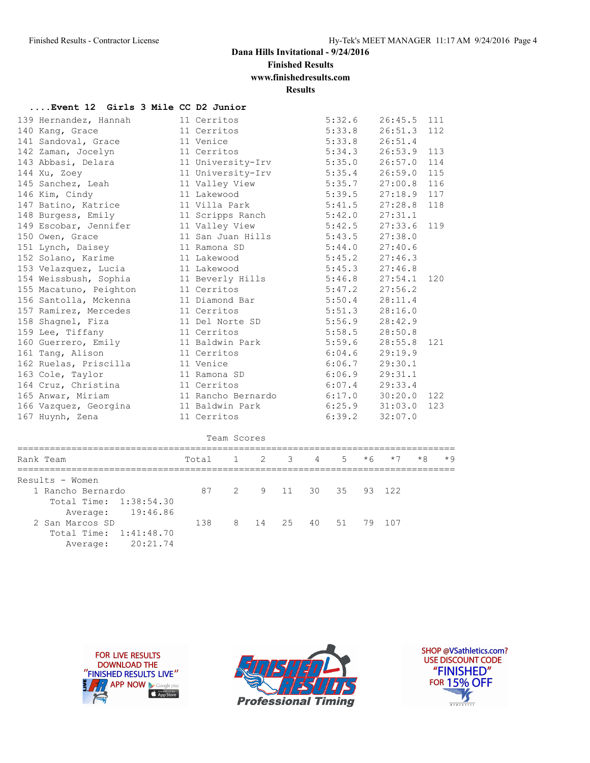**Finished Results**

**www.finishedresults.com**

**Results**

| Event 12 Girls 3 Mile CC D2 Junior |  |  |  |  |  |  |  |  |
|------------------------------------|--|--|--|--|--|--|--|--|
|------------------------------------|--|--|--|--|--|--|--|--|

| 139 Hernandez, Hannah  | 11 Cerritos                       | 5:32.6                 | $26:45.5$ 111 |     |
|------------------------|-----------------------------------|------------------------|---------------|-----|
| 140 Kang, Grace        | 11 Cerritos                       | $5:33.8$ $26:51.3$ 112 |               |     |
| 141 Sandoval, Grace    | 11 Venice                         | 5:33.8                 | 26:51.4       |     |
| 142 Zaman, Jocelyn     | 11 Cerritos                       | 5:34.3                 | 26:53.9       | 113 |
| 143 Abbasi, Delara     | 11 University-Irv 5:35.0 26:57.0  |                        |               | 114 |
| 144 Xu, Zoey           | 11 University-Irv                 | 5:35.4 26:59.0 115     |               |     |
| 145 Sanchez, Leah      | 11 Valley View                    | 5:35.7                 | 27:00.8       | 116 |
| 146 Kim, Cindy         | 11 Lakewood                       | 5:39.5                 | 27:18.9       | 117 |
| 147 Batino, Katrice    | 11 Villa Park                     | $5:41.5$ 27:28.8       |               | 118 |
| 148 Burgess, Emily     | 11 Scripps Ranch                  | 5:42.0                 | 27:31.1       |     |
| 149 Escobar, Jennifer  | 11 Valley View                    | 5:42.5                 | 27:33.6       | 119 |
| 150 Owen, Grace        | 11 San Juan Hills 5:43.5 27:38.0  |                        |               |     |
| 151 Lynch, Daisey      | 11 Ramona SD                      | $5:44.0$ 27:40.6       |               |     |
| 152 Solano, Karime     | 11 Lakewood                       | $5:45.2$ 27:46.3       |               |     |
| 153 Velazquez, Lucia   | 11 Lakewood                       | $5:45.3$ $27:46.8$     |               |     |
| 154 Weissbush, Sophia  | 11 Beverly Hills                  | $5:46.8$ 27:54.1       |               | 120 |
| 155 Macatuno, Peighton | 11 Cerritos                       | $5:47.2$ 27:56.2       |               |     |
| 156 Santolla, Mckenna  | 11 Diamond Bar                    | $5:50.4$ 28:11.4       |               |     |
| 157 Ramirez, Mercedes  | 11 Cerritos                       | $5:51.3$ $28:16.0$     |               |     |
| 158 Shagnel, Fiza      | 11 Del Norte SD                   | 5:56.9                 | 28:42.9       |     |
| 159 Lee, Tiffany       | 11 Cerritos                       | 5:58.5                 | 28:50.8       |     |
| 160 Guerrero, Emily    | 11 Baldwin Park                   | $5:59.6$ 28:55.8       |               | 121 |
| 161 Tang, Alison       | 11 Cerritos                       | 6:04.6                 | 29:19.9       |     |
| 162 Ruelas, Priscilla  | 11 Venice                         | 6:06.7                 | 29:30.1       |     |
| 163 Cole, Taylor       | 11 Ramona SD                      | $6:06.9$ 29:31.1       |               |     |
| 164 Cruz, Christina    | 11 Cerritos                       | $6:07.4$ 29:33.4       |               |     |
| 165 Anwar, Miriam      | 11 Rancho Bernardo 6:17.0 30:20.0 |                        |               | 122 |
| 166 Vazquez, Georgina  | 11 Baldwin Park                   | $6:25.9$ $31:03.0$     |               | 123 |
| 167 Huynh, Zena        | 11 Cerritos                       | 6:39.2                 | 32:07.0       |     |

Team Scores

| Rank Team              | Total 1 2 3 4 5 $*6$ *7 |                      |  |  | $*8$ | $*9$ |
|------------------------|-------------------------|----------------------|--|--|------|------|
| Results - Women        |                         |                      |  |  |      |      |
| 1 Rancho Bernardo      | 87 2 9 11 30 35 93 122  |                      |  |  |      |      |
| Total Time: 1:38:54.30 |                         |                      |  |  |      |      |
| Average: 19:46.86      |                         |                      |  |  |      |      |
| 2 San Marcos SD        | 138                     | 8 14 25 40 51 79 107 |  |  |      |      |
| Total Time: 1:41:48.70 |                         |                      |  |  |      |      |
| 20:21.74<br>Average:   |                         |                      |  |  |      |      |





SHOP @VSathletics.com? USE DISCOUNT CODE "FINISHED" **FOR 15% OFF**  $\frac{1}{\sqrt{2}}$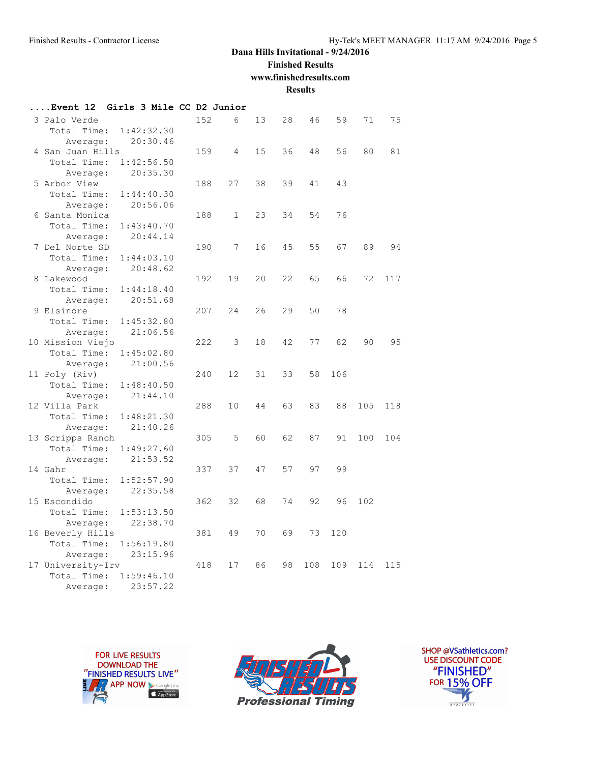**Finished Results**

**www.finishedresults.com**

**Results**

| Event <b>12</b>   | Girls 3 Mile CC D2 Junior |     |                   |    |    |     |     |     |     |
|-------------------|---------------------------|-----|-------------------|----|----|-----|-----|-----|-----|
| 3 Palo Verde      |                           | 152 | 6                 | 13 | 28 | 46  | 59  | 71  | 75  |
| Total Time:       | 1:42:32.30                |     |                   |    |    |     |     |     |     |
| Average:          | 20:30.46                  |     |                   |    |    |     |     |     |     |
| 4 San Juan Hills  |                           | 159 | 4                 | 15 | 36 | 48  | 56  | 80  | 81  |
| Total Time:       | 1:42:56.50                |     |                   |    |    |     |     |     |     |
| Average:          | 20:35.30                  |     |                   |    |    |     |     |     |     |
| 5 Arbor View      |                           | 188 | 27                | 38 | 39 | 41  | 43  |     |     |
| Total Time:       | 1:44:40.30                |     |                   |    |    |     |     |     |     |
| Average:          | 20:56.06                  |     |                   |    |    |     |     |     |     |
| 6 Santa Monica    |                           | 188 | $\mathbf{1}$      | 23 | 34 | 54  | 76  |     |     |
| Total Time:       | 1:43:40.70                |     |                   |    |    |     |     |     |     |
| Average:          | 20:44.14                  |     |                   |    |    |     |     |     |     |
| 7 Del Norte SD    |                           | 190 | 7                 | 16 | 45 | 55  | 67  | 89  | 94  |
| Total Time:       | 1:44:03.10                |     |                   |    |    |     |     |     |     |
| Average:          | 20:48.62                  |     |                   |    |    |     |     |     |     |
| 8 Lakewood        |                           | 192 | 19                | 20 | 22 | 65  | 66  | 72  | 117 |
| Total Time:       | 1:44:18.40                |     |                   |    |    |     |     |     |     |
| Average:          | 20:51.68                  |     |                   |    |    |     |     |     |     |
| 9 Elsinore        |                           | 207 | 24                | 26 | 29 | 50  | 78  |     |     |
| Total Time:       | 1:45:32.80                |     |                   |    |    |     |     |     |     |
| Average:          | 21:06.56                  |     |                   |    |    |     |     |     |     |
| 10 Mission Viejo  |                           | 222 | 3                 | 18 | 42 | 77  | 82  | 90  | 95  |
| Total Time:       | 1:45:02.80                |     |                   |    |    |     |     |     |     |
| Average:          | 21:00.56                  |     |                   |    |    |     |     |     |     |
| 11 Poly (Riv)     |                           | 240 | $12 \overline{c}$ | 31 | 33 | 58  | 106 |     |     |
| Total Time:       | 1:48:40.50                |     |                   |    |    |     |     |     |     |
| Average:          | 21:44.10                  |     |                   |    |    |     |     |     |     |
| 12 Villa Park     |                           | 288 | 10                | 44 | 63 | 83  | 88  | 105 | 118 |
| Total Time:       | 1:48:21.30                |     |                   |    |    |     |     |     |     |
| Average:          | 21:40.26                  |     |                   |    |    |     |     |     |     |
| 13 Scripps Ranch  |                           | 305 | 5                 | 60 | 62 | 87  | 91  | 100 | 104 |
| Total Time:       | 1:49:27.60                |     |                   |    |    |     |     |     |     |
| Average:          | 21:53.52                  |     |                   |    |    |     |     |     |     |
| 14 Gahr           |                           | 337 | 37                | 47 | 57 | 97  | 99  |     |     |
| Total Time:       | 1:52:57.90                |     |                   |    |    |     |     |     |     |
| Average:          | 22:35.58                  |     |                   |    |    |     |     |     |     |
| 15 Escondido      |                           | 362 | 32                | 68 | 74 | 92  | 96  | 102 |     |
| Total Time:       | 1:53:13.50                |     |                   |    |    |     |     |     |     |
| Average:          | 22:38.70                  |     |                   |    |    |     |     |     |     |
| 16 Beverly Hills  |                           | 381 | 49                | 70 | 69 | 73  | 120 |     |     |
| Total Time:       | 1:56:19.80                |     |                   |    |    |     |     |     |     |
| Average:          | 23:15.96                  |     |                   |    |    |     |     |     |     |
| 17 University-Irv |                           | 418 | 17                | 86 | 98 | 108 | 109 | 114 | 115 |
| Total Time:       | 1:59:46.10                |     |                   |    |    |     |     |     |     |
| Average:          | 23:57.22                  |     |                   |    |    |     |     |     |     |





SHOP @VSathletics.com? USE DISCOUNT CODE "FINISHED" **FOR 15% OFF**  $\frac{1}{\sqrt{2}}$